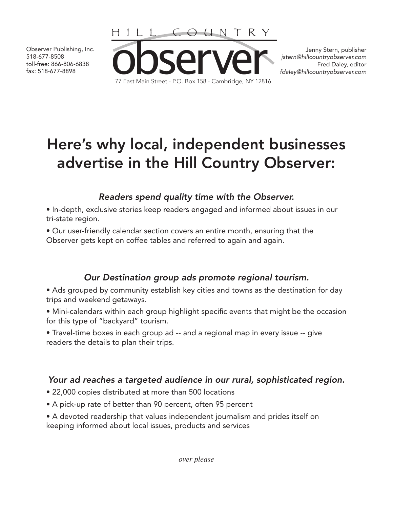518-677-8508 toll-free: 866-806-6838 fax: 518-677-8898



Jenny Stern, publisher *jstern@hillcountryobserver.com* Fred Daley, editor *fdaley@hillcountryobserver.com*

# Here's why local, independent businesses advertise in the Hill Country Observer:

## *Readers spend quality time with the Observer.*

• In-depth, exclusive stories keep readers engaged and informed about issues in our tri-state region.

• Our user-friendly calendar section covers an entire month, ensuring that the Observer gets kept on coffee tables and referred to again and again.

## *Our Destination group ads promote regional tourism.*

• Ads grouped by community establish key cities and towns as the destination for day trips and weekend getaways.

• Mini-calendars within each group highlight specific events that might be the occasion for this type of "backyard" tourism.

• Travel-time boxes in each group ad -- and a regional map in every issue -- give readers the details to plan their trips.

## *Your ad reaches a targeted audience in our rural, sophisticated region.*

- 22,000 copies distributed at more than 500 locations
- A pick-up rate of better than 90 percent, often 95 percent
- A devoted readership that values independent journalism and prides itself on keeping informed about local issues, products and services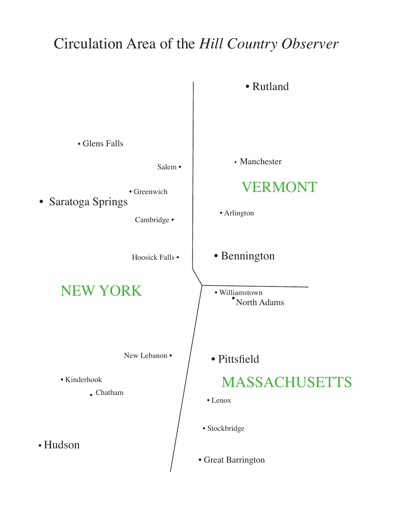# Circulation Area of the *Hill Country Observer*

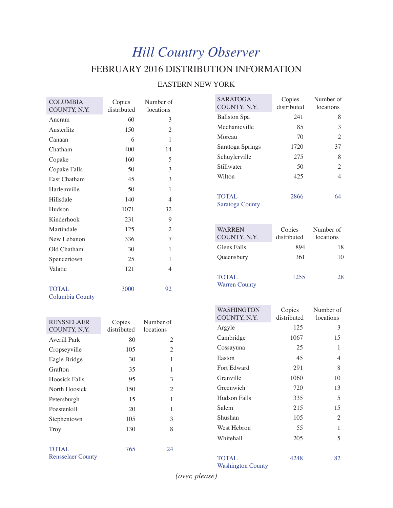## *Hill Country Observer* FEBRUARY 2016 DISTRIBUTION INFORMATION

#### EASTERN NEW YORK

| <b>COLUMBIA</b>     | Copies      | Number of      |
|---------------------|-------------|----------------|
| COUNTY, N.Y.        | distributed | locations      |
| Ancram              | 60          | 3              |
| Austerlitz          | 150         | $\overline{c}$ |
| Canaan              | 6           | 1              |
| Chatham             | 400         | 14             |
| Copake              | 160         | 5              |
| Copake Falls        | 50          | 3              |
| <b>East Chatham</b> | 45          | 3              |
| Harlemville         | 50          | 1              |
| Hillsdale           | 140         | $\overline{4}$ |
| Hudson              | 1071        | 32             |
| Kinderhook          | 231         | 9              |
| Martindale          | 125         | $\overline{c}$ |
| New Lebanon         | 336         | 7              |
| Old Chatham         | 30          | 1              |
| Spencertown         | 25          | 1              |
| Valatie             | 121         | 4              |
|                     |             |                |
| <b>TOTAL</b>        | 3000        | 92             |

Columbia County

| <b>RENSSELAER</b><br>COUNTY, N.Y.        | Copies<br>distributed | Number of<br>locations |
|------------------------------------------|-----------------------|------------------------|
| Averill Park                             | 80                    | 2                      |
| Cropseyville                             | 105                   | 2                      |
| Eagle Bridge                             | 30                    | 1                      |
| Grafton                                  | 35                    | 1                      |
| <b>Hoosick Falls</b>                     | 95                    | 3                      |
| North Hoosick                            | 150                   | 2                      |
| Petersburgh                              | 15                    | 1                      |
| Poestenkill                              | 20                    | 1                      |
| Stephentown                              | 105                   | 3                      |
| Troy                                     | 130                   | 8                      |
|                                          |                       |                        |
| <b>TOTAL</b><br><b>Rensselaer County</b> | 765                   | 24                     |

| <b>SARATOGA</b><br>COUNTY, N.Y. | Copies<br>distributed | Number of<br>locations |
|---------------------------------|-----------------------|------------------------|
| <b>Ballston Spa</b>             | 241                   | 8                      |
| Mechanicville                   | 85                    | 3                      |
| Moreau                          | 70                    | $\mathfrak{D}$         |
| Saratoga Springs                | 1720                  | 37                     |
| Schuylerville                   | 275                   | 8                      |
| Stillwater                      | 50                    | 2                      |
| Wilton                          | 425                   | 4                      |
|                                 |                       |                        |
| TOTAL.                          | 2866                  |                        |

Saratoga County

| <b>WARREN</b><br>COUNTY, N.Y.        | Copies<br>distributed | Number of<br>locations |
|--------------------------------------|-----------------------|------------------------|
| Glens Falls                          | 894                   | 18                     |
| Queensbury                           | 361                   | 10                     |
| <b>TOTAL</b><br><b>Warren County</b> | 1255                  | 28                     |

| <b>WASHINGTON</b><br>COUNTY, N.Y. | Copies<br>distributed | Number of<br>locations |
|-----------------------------------|-----------------------|------------------------|
| Argyle                            | 125                   | 3                      |
| Cambridge                         | 1067                  | 15                     |
| Cossayuna                         | 25                    | 1                      |
| Easton                            | 45                    | 4                      |
| Fort Edward                       | 291                   | 8                      |
| Granville                         | 1060                  | 10                     |
| Greenwich                         | 720                   | 13                     |
| Hudson Falls                      | 335                   | 5                      |
| Salem                             | 215                   | 15                     |
| Shushan                           | 105                   | 2                      |
| West Hebron                       | 55                    | 1                      |
| Whitehall                         | 205                   | 5                      |
| TOTAL                             | 4248                  | 82                     |

Washington County

*(over, please)*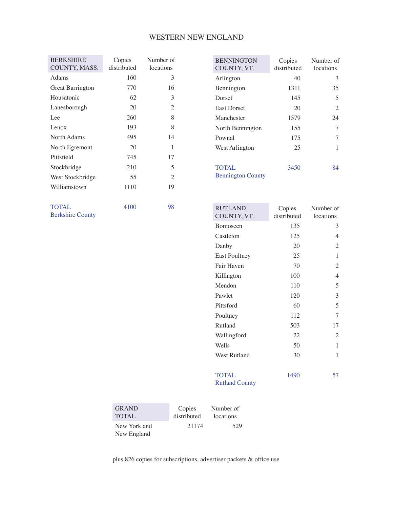#### WESTERN NEW ENGLAND

| <b>BERKSHIRE</b>        | Copies<br>distributed | Number of      |
|-------------------------|-----------------------|----------------|
| COUNTY, MASS.           |                       | locations      |
| Adams                   | 160                   | 3              |
| <b>Great Barrington</b> | 770                   | 16             |
| Housatonic              | 62                    | 3              |
| Lanesborough            | 20                    | $\overline{c}$ |
| Lee.                    | 260                   | 8              |
| Lenox                   | 193                   | 8              |
| North Adams             | 495                   | 14             |
| North Egremont          | 20                    | 1              |
| Pittsfield              | 745                   | 17             |
| Stockbridge             | 210                   | 5              |
| West Stockbridge        | 55                    | $\mathfrak{D}$ |
| Williamstown            | 1110                  | 19             |
|                         |                       |                |
| TOTAL                   | 4100                  | 98             |

Berkshire County

| <b>BENNINGTON</b><br>COUNTY, VT.         | Copies<br>distributed | Number of<br>locations |
|------------------------------------------|-----------------------|------------------------|
| Arlington                                | 40                    | 3                      |
| Bennington                               | 1311                  | 35                     |
| Dorset                                   | 145                   | 5                      |
| <b>East Dorset</b>                       | 20                    | 2                      |
| Manchester                               | 1579                  | 24                     |
| North Bennington                         | 155                   | 7                      |
| Pownal                                   | 175                   |                        |
| West Arlington                           | 25                    | 1                      |
| <b>TOTAL</b><br><b>Bennington County</b> | 3450                  | 84                     |

| <b>RUTLAND</b><br>COUNTY, VT. | Copies<br>distributed | Number of<br>locations |
|-------------------------------|-----------------------|------------------------|
| Bomoseen                      | 135                   | 3                      |
| Castleton                     | 125                   | 4                      |
| Danby                         | 20                    | 2                      |
| <b>East Poultney</b>          | 25                    | $\mathbf{1}$           |
| Fair Haven                    | 70                    | 2                      |
| Killington                    | 100                   | 4                      |
| Mendon                        | 110                   | 5                      |
| Pawlet                        | 120                   | 3                      |
| Pittsford                     | 60                    | 5                      |
| Poultney                      | 112                   | 7                      |
| Rutland                       | 503                   | 17                     |
| Wallingford                   | 22                    | 2                      |
| Wells                         | 50                    | 1                      |
| West Rutland                  | 30                    | 1                      |
| <b>TOTAL</b>                  | 1490                  | 57                     |

Rutland County

| <b>GRAND</b>                | Copies      | Number of |
|-----------------------------|-------------|-----------|
| <b>TOTAL</b>                | distributed | locations |
| New York and<br>New England | 21174       | 529       |

plus 826 copies for subscriptions, advertiser packets & office use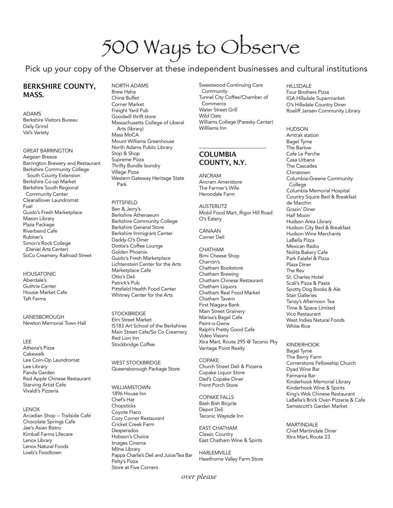# 500 Ways to Observe

Pick up your copy of the Observer at these independent businesses and cultural institutions

#### **BERKSHIRE COUNTY, MASS.**

ADAMS Berkshire Visitors Bureau Daily Grind Val's Variety

GREAT BARRINGTON Aegean Breeze Barrington Brewery and Restaurant Berkshire Community College South County Extension Berkshire Co-op Market Berkshire South Regional Community Center Cleanallover Laundromat Fuel Guido's Fresh Marketplace Mason Library Plaza Package Riverbend Cafe Rubiner's Simon's Rock College (Daniel Arts Center) SoCo Creamery, Railroad Street

**HOUSATONIC** Aberdale's Guthrie Center Housie Market Cafe Taft Farms

LANESBOROUGH Newton Memorial Town Hall

#### LEE

Athena's Pizza Cakewalk Lee Coin-Op Laundromat Lee Library Panda Garden Red Apple Chinese Restaurant Starving Artist Cafe Vivaldi's Pizzeria

#### **LENOX**

Arcadian Shop -- Trailside Café Chocolate Springs Cafe Jae's Asian Bistro Kimball Farms Lifecare Lenox Library Lenox Natural Foods Loeb's Foodtown

NORTH ADAMS Brew Haha China Buffet Corner Market Freight Yard Pub Goodwill thrift store Massachusetts College of Liberal Arts (library) Mass MoCA Mount Williams Greenhouse North Adams Public Library Stop & Shop Supreme Pizza Thrifty Bundle laundry Village Pizza Western Gateway Heritage State Park

PITTSFIELD Ben & Jerry's Berkshire Athenaeum Berkshire Community College Berkshire General Store Berkshire Immigrant Center Daddy-O's Diner Dottie's Coffee Lounge Golden Phoenix Guido's Fresh Marketplace Lichtenstein Center for the Arts Marketplace Cafe Otto's Deli Patrick's Pub Pittsfield Health Food Center Whitney Center for the Arts

**STOCKBRIDGE** Elm Street Market IS183 Art School of the Berkshires Main Street Cafe/So Co Creamery Red Lion Inn Stockbridge Coffee

WEST STOCKBRIDGE Queensborough Package Store

WILLIAMSTOWN 1896 House Inn Chef's Hat **Chopsticks** Coyote Flaco Cozy Corner Restaurant Cricket Creek Farm **Desperados** Hobson's Choice Images Cinema Milne Library Pappa Charlie's Deli and Juice/Tea Bar Pelty's Pizza Store at Five Corners

Sweetwood Continuing Care **Community** Tunnel City Coffee/Chamber of **Commerce** Water Street Grill Wild Oats Williams College (Paresky Center) Willliams Inn

#### **COLUMBIA COUNTY, N.Y.**

ANCRAM Ancram Ameristore The Farmer's Wife Herondale Farm

**AUSTERLITZ** Mobil Food Mart, Rigor Hill Road O's Eatery

CANAAN Corner Deli

CHATHAM Bimi Cheese Shop Charron's Chatham Bookstore Chatham Brewing Chatham Chinese Restaurant Chatham Liquors Chatham Real Food Market Chatham Tavern First Niagara Bank Main Street Grainery Marisa's Bagel Cafe Peint-o-Gwrw Ralph's Pretty Good Cafe Video Visions Xtra Mart, Route 295 @ Taconic Pky Vantage Point Realty

COPAKE Church Street Deli & Pizzeria Copake Liquor Store Dad's Copake Diner Front Porch Store

COPAKE FALLS Bash Bish Bicycle Depot Deli Taconic Wayside Inn

EAST CHATHAM Classic Country East Chatham Wine & Spirits

HARLEMVILLE Hawthorne Valley Farm Store HILLSDALE Four Brothers Pizza IGA Hillsdale Supermarket O's Hillsdale Country Diner Roeliff Jansen Community Library

HUDSON Amtrak station Bagel Tyme The Barlow Cafe Le Perche Casa Urbana The Cascades Chinatown Columbia-Greene Community College Columbia Memorial Hospital Country Squire Bed & Breakfast de Marchin Grazin' Diner Half Moon Hudson Area Library Hudson City Bed & Breakfast Hudson Wine Merchants LaBella Pizza Mexican Radio Nolita Bakery Cafe Park Falafel & Pizza Plaza Diner The Rev St. Charles Hotel Scali's Pizza & Pasta Spotty Dog Books & Ale Stair Galleries Tanzy's Afternoon Tea Time & Space Limited Vico Restaurant West Indies Natural Foods White Rice

**KINDERHOOK** Bagel Tyme The Berry Farm Cornerstone Fellowship Church Dyad Wine Bar Farmania Bar Kinderhook Memorial Library Kinderhook Wine & Spirits King's Wok Chinese Restaurant LaBella's Brick Oven Pizzeria & Cafe Samascott's Garden Market

MARTINDALE Chief Martindale Diner Xtra Mart, Route 23

*over please*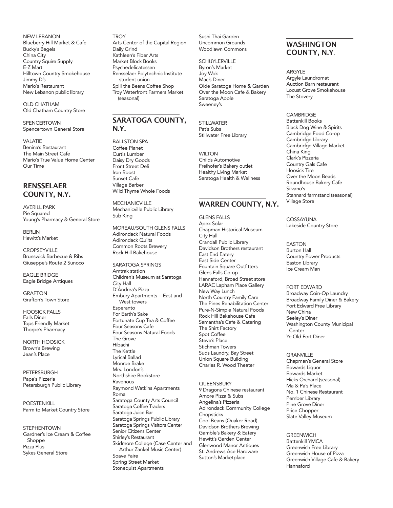NEW LEBANON Blueberry Hill Market & Cafe Bucky's Bagels China City Country Squire Supply E-Z Mart Hilltown Country Smokehouse Jimmy D's Mario's Restaurant New Lebanon public library

OLD CHATHAM Old Chatham Country Store

SPENCERTOWN Spencertown General Store

VALATIE Benina's Restaurant The Main Street Cafe Mario's True Value Home Center Our Time

#### **RENSSELAER COUNTY, N.Y.**

AVERILL PARK Pie Squared Young's Pharmacy & General Store

BERLIN Hewitt's Market

**CROPSEYVILLE** Brunswick Barbecue & Ribs Giuseppe's Route 2 Sunoco

EAGLE BRIDGE Eagle Bridge Antiques

GRAFTON Grafton's Town Store

Falls Diner Tops Friendly Market Thorpe's Pharmacy HOOSICK FALLS

NORTH HOOSICK Brown's Brewing Jean's Place

PETERSBURGH Papa's Pizzeria Petersburgh Public Library

POESTENKILL Farm to Market Country Store

STEPHENTOWN Gardner's Ice Cream & Coffee Shoppe Pizza Plus Sykes General Store

**TROY** Arts Center of the Capital Region Daily Grind Kathleen's Fiber Arts Market Block Books Psychedelicatessen Rensselaer Polytechnic Institute student union Spill the Beans Coffee Shop Troy Waterfront Farmers Market (seasonal)

#### **SARATOGA COUNTY, N.Y.**

**BALLSTON SPA** Coffee Planet Curtis Lumber Daisy Dry Goods Front Street Deli Iron Roost Sunset Cafe Village Barber Wild Thyme Whole Foods

MECHANICVILLE Mechanicville Public Library Sub King

MOREAU/SOUTH GLENS FALLS Adirondack Natural Foods Adirondack Quilts Common Roots Brewery Rock Hill Bakehouse

SARATOGA SPRINGS Amtrak station Children's Museum at Saratoga City Hall D'Andrea's Pizza Embury Apartments -- East and West towers Esperanto For Earth's Sake Fortunate Cup Tea & Coffee Four Seasons Cafe Four Seasons Natural Foods The Grove Hibachi The Kettle Lyrical Ballad Monroe Brake Mrs. London's Northshire Bookstore **Ravenous** Raymond Watkins Apartments Roma Saratoga County Arts Council Saratoga Coffee Traders Saratoga Juice Bar Saratoga Springs Public Library Saratoga Springs Visitors Center Senior Citizens Center Shirley's Restaurant Skidmore College (Case Center and Arthur Zankel Music Center) Soave Faire Spring Street Market Stonequist Apartments

Sushi Thai Garden Uncommon Grounds Woodlawn Commons

**SCHUYLERVILLE** Byron's Market Joy Wok Mac's Diner Olde Saratoga Home & Garden Over the Moon Cafe & Bakery Saratoga Apple Sweeney's

**STILLWATER** Pat's Subs Stillwater Free Library

**WILTON** Childs Automotive Freihofer's Bakery outlet Healthy Living Market Saratoga Health & Wellness

#### **WARREN COUNTY, N.Y.**

GLENS FALLS Apex Solar Chapman Historical Museum City Hall Crandall Public Library Davidson Brothers restaurant East End Eatery East Side Center Fountain Square Outfitters Glens Falls Co-op Hannaford, Broad Street store LARAC Lapham Place Gallery New Way Lunch North Country Family Care The Pines Rehabilitation Center Pure-N-Simple Natural Foods Rock Hill Bakehouse Cafe Samantha's Cafe & Catering The Shirt Factory Spot Coffee Steve's Place Stichman Towers Suds Laundry, Bay Street Union Square Building Charles R. Wood Theater

#### **OUFFNSBURY**

9 Dragons Chinese restaurant Amore Pizza & Subs Angelina's Pizzeria Adirondack Community College **Chopsticks** Cool Beans (Quaker Road) Davidson Brothers Brewing Gamble's Bakery & Eatery Hewitt's Garden Center Glenwood Manor Antiques St. Andrews Ace Hardware Sutton's Marketplace

#### **WASHINGTON COUNTY, N.Y**.

ARGYLE Argyle Laundromat Auction Barn restaurant Locust Grove Smokehouse The Stovery

CAMBRIDGE Battenkill Books Black Dog Wine & Spirits Cambridge Food Co-op Cambridge Library Cambridge Village Market China King Clark's Pizzeria Country Gals Cafe Hoosick Tire Over the Moon Beads Roundhouse Bakery Cafe Silvano's Stannard farmstand (seasonal) Village Store

COSSAYUNA Lakeside Country Store

EASTON Burton Hall Country Power Products Easton Library Ice Cream Man

FORT EDWARD Broadway Coin-Op Laundry Broadway Family Diner & Bakery Fort Edward Free Library New China Seeley's Diner Washington County Municipal **Center** Ye Old Fort Diner

**GRANVILLE** Chapman's General Store Edwards Liquor Edwards Market Hicks Orchard (seasonal) Ma & Pa's Place No. 1 Chinese Restaurant Pember Library Pine Grove Diner Price Chopper Slate Valley Museum

**GREENWICH** Battenkill YMCA Greenwich Free Library Greenwich House of Pizza Greenwich Village Cafe & Bakery Hannaford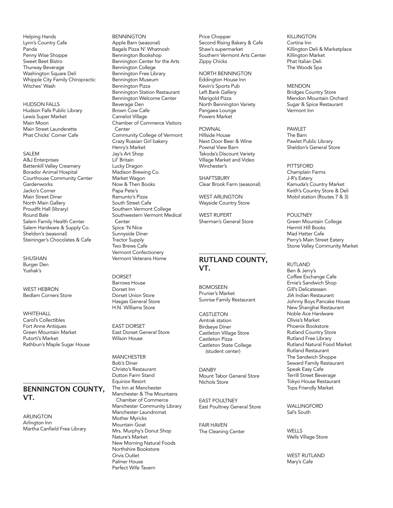Helping Hands Lynn's Country Cafe Panda Penny Wise Shoppe Sweet Beet Bistro Thurway Beverage Washington Square Deli Whipple City Family Chiropractic Witches' Wash

HUDSON FALLS Hudson Falls Public Library Lewis Super Market Main Moon Main Street Launderette Phat Chicks' Corner Cafe

#### SAI FM A&J Enterprises Battenkill Valley Creamery Borador Animal Hospital Courthouse Community Center **Gardenworks** Jacko's Corner Main Street Diner North Main Gallery Proudfit Hall (library) Round Bale Salem Family Health Center Salem Hardware & Supply Co. Sheldon's (seasonal) Steininger's Chocolates & Cafe

SHUSHAN Burger Den Yushak's

WEST HEBRON Bedlam Corners Store

**WHITEHALL** Carol's Collectibles Fort Anne Antiques Green Mountain Market Putorti's Market Rathbun's Maple Sugar House

#### **BENNINGTON COUNTY, VT.**

ARLINGTON Arlington Inn Martha Canfield Free Library BENNINGTON Apple Barn (seasonal) Bagels Pizza N' Whatnosh Bennington Bookshop Bennington Center for the Arts Bennington College Bennington Free Library Bennington Museum Bennington Pizza Bennington Station Restaurant Bennington Welcome Center Beverage Den Brown Cow Cafe Camelot Village Chamber of Commerce Visitors Center Community College of Vermont Crazy Russian Girl bakery Henry's Market Jay's Art Shop Lil' Britain Lucky Dragon Madison Brewing Co. Market Wagon Now & Then Books Papa Pete's Ramunto's Pizza South Street Cafe Southern Vermont College Southwestern Vermont Medical Center Spice 'N Nice Sunnyside Diner Tractor Supply Two Brews Cafe Vermont Confectionery Vermont Veterans Home

DORSET Barrows House Dorset Inn Dorset Union Store Hasgas General Store H.N. Williams Store

EAST DORSET East Dorset General Store Wilson House

MANCHESTER Bob's Diner Christo's Restaurant Dutton Farm Stand Equinox Resort The Inn at Manchester Manchester & The Mountains Chamber of Commerce Manchester Community Library Manchester Laundromat Mother Myricks Mountain Goat Mrs. Murphy's Donut Shop Nature's Market New Morning Natural Foods Northshire Bookstore Orvis Outlet Palmer House Perfect Wife Tavern

Price Chopper Second Rising Bakery & Cafe Shaw's supermarket Southern Vermont Arts Center Zippy Chicks

NORTH BENNINGTON Eddington House Inn Kevin's Sports Pub Left Bank Gallery Marigold Pizza North Bennington Variety Pangaea Lounge Powers Market

POWNAL Hillside House Next Door Beer & Wine Pownal View Barn Takoda's Discount Variety Village Market and Video Winchester's

**SHAFTSBURY** Clear Brook Farm (seasonal)

WEST ARLINGTON Wayside Country Store

WEST RUPERT Sherman's General Store

#### **RUTLAND COUNTY, VT.**

**BOMOSEEN** Prunier's Market Sunrise Family Restaurant

#### CASTI FTON

Amtrak station Birdseye Diner Castleton Village Store Castleton Pizza Castleton State College (student center)

DANBY Mount Tabor General Store Nichols Store

EAST POULTNEY East Poultney General Store

FAIR HAVEN The Cleaning Center KILLINGTON Cortina Inn Killington Deli & Marketplace Killington Market Phat Italian Deli The Woods Spa

**MENDON** Bridges Country Store Mendon Mountain Orchard Sugar & Spice Restaurant Vermont Inn

PAWI FT The Barn Pawlet Public Library Sheldon's General Store

**PITTSFORD** Champlain Farms J-R's Eatery Kamuda's Country Market Keith's Country Store & Deli Mobil station (Routes 7 & 3)

**POULTNEY** Green Mountain College Hermit Hill Books Mad Hatter Cafe Perry's Main Street Eatery Stone Valley Community Market

RUTLAND Ben & Jerry's Coffee Exchange Cafe Ernie's Sandwich Shop Gill's Delicatessen JIA Indian Restaurant Johnny Boys Pancake House New Shanghai Restaurant Noble Ace Hardware Olivia's Market Phoenix Bookstore Rutland Country Store Rutland Free Library Rutland Natural Food Market Rutland Restaurant The Sandwich Shoppe Seward Family Restaurant Speak Easy Cafe Terrill Street Beverage Tokyo House Restaurant Tops Friendly Market

WALLINGFORD Sal's South

**WELLS** Wells Village Store

WEST RUTLAND Mary's Cafe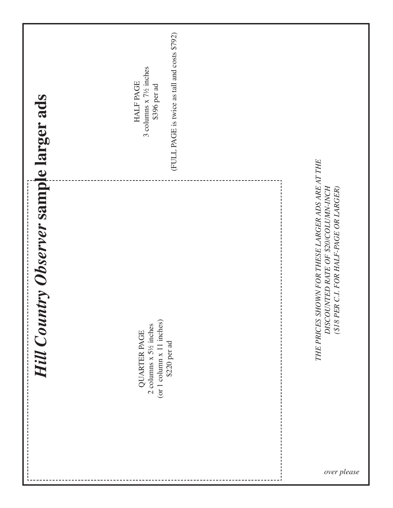|                                                | (FULL PAGE is twice as tall and costs \$792)<br>3 columns x 7½ inches<br><b>HALF PAGE</b><br>\$396 per ad |                                                                                                                                    |
|------------------------------------------------|-----------------------------------------------------------------------------------------------------------|------------------------------------------------------------------------------------------------------------------------------------|
| <b>Hill Country Observer sample larger ads</b> | (or 1 column x 11 inches)<br>2 columns x 5½ inches<br><b>QUARTER PAGE</b><br>\$220 per ad                 | THE PRICES SHOWN FOR THESE LARGER ADS ARE AT THE<br>DISCOUNTED RATE OF \$20/COLUMN-INCH<br>(\$18 PER C.I. FOR HALF-PAGE OR LARGER) |
|                                                |                                                                                                           | over please                                                                                                                        |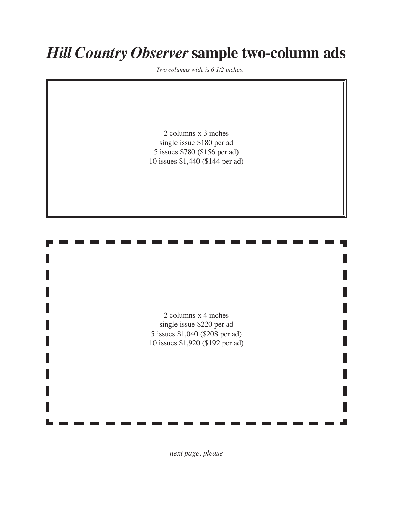# *Hill Country Observer* **sample two-column ads**

*Two columns wide is 6 1/2 inches.* 

 columns x 3 inches single issue \$180 per ad issues \$780 (\$156 per ad) issues \$1,440 (\$144 per ad)

 columns x 4 inches single issue \$220 per ad issues \$1,040 (\$208 per ad) issues \$1,920 (\$192 per ad)

*next page, please*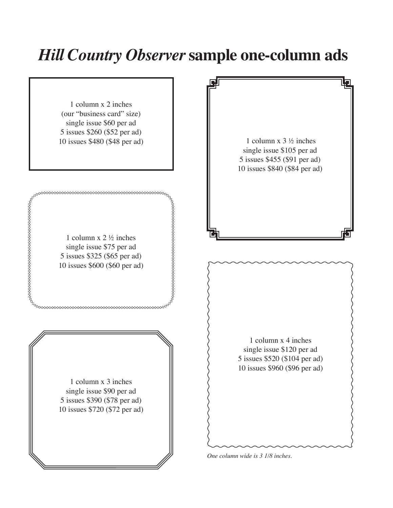## *Hill Country Observer* **sample one-column ads**